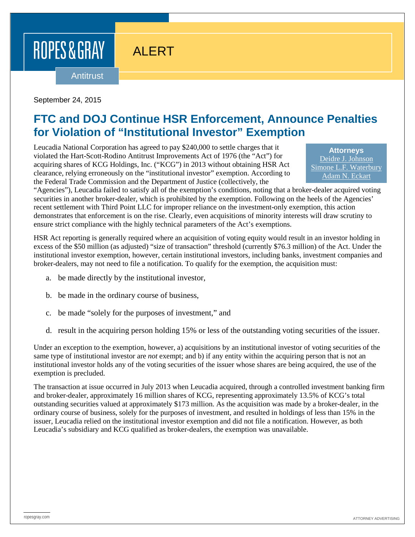## ROPES & GRAY

ALERT

Antitrust

September 24, 2015

## **FTC and DOJ Continue HSR Enforcement, Announce Penalties for Violation of "Institutional Investor" Exemption**

Leucadia National Corporation has agreed to pay \$240,000 to settle charges that it violated the Hart-Scott-Rodino Antitrust Improvements Act of 1976 (the "Act") for acquiring shares of KCG Holdings, Inc. ("KCG") in 2013 without obtaining HSR Act clearance, relying erroneously on the "institutional investor" exemption. According to the Federal Trade Commission and the Department of Justice (collectively, the

**Attorneys** [Deidre J. Johnson](https://www.ropesgray.com/biographies/j/deidre-j-johnson.aspx) [Simone L.F. Waterbury](https://www.ropesgray.com/biographies/w/simone-lf-waterbury.aspx) [Adam N. Eckart](https://www.ropesgray.com/biographies/e/adam-n-eckart.aspx)

"Agencies"), Leucadia failed to satisfy all of the exemption's conditions, noting that a broker-dealer acquired voting securities in another broker-dealer, which is prohibited by the exemption. Following on the heels of the Agencies' recent settlement with Third Point LLC for improper reliance on the investment-only exemption, this action demonstrates that enforcement is on the rise. Clearly, even acquisitions of minority interests will draw scrutiny to ensure strict compliance with the highly technical parameters of the Act's exemptions.

HSR Act reporting is generally required where an acquisition of voting equity would result in an investor holding in excess of the \$50 million (as adjusted) "size of transaction" threshold (currently \$76.3 million) of the Act. Under the institutional investor exemption, however, certain institutional investors, including banks, investment companies and broker-dealers, may not need to file a notification. To qualify for the exemption, the acquisition must:

- a. be made directly by the institutional investor,
- b. be made in the ordinary course of business,
- c. be made "solely for the purposes of investment," and
- d. result in the acquiring person holding 15% or less of the outstanding voting securities of the issuer.

Under an exception to the exemption, however, a) acquisitions by an institutional investor of voting securities of the same type of institutional investor are *not* exempt; and b) if any entity within the acquiring person that is not an institutional investor holds any of the voting securities of the issuer whose shares are being acquired, the use of the exemption is precluded.

The transaction at issue occurred in July 2013 when Leucadia acquired, through a controlled investment banking firm and broker-dealer, approximately 16 million shares of KCG, representing approximately 13.5% of KCG's total outstanding securities valued at approximately \$173 million. As the acquisition was made by a broker-dealer, in the ordinary course of business, solely for the purposes of investment, and resulted in holdings of less than 15% in the issuer, Leucadia relied on the institutional investor exemption and did not file a notification. However, as both Leucadia's subsidiary and KCG qualified as broker-dealers, the exemption was unavailable.